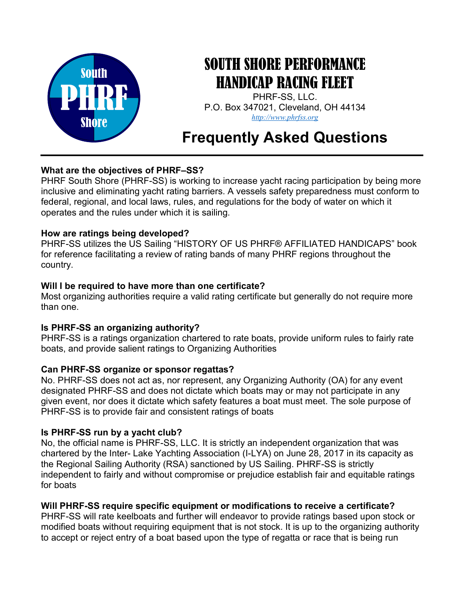

## SOUTH SHORE PERFORMANCE HANDICAP RACING FLEET

PHRF-SS, LLC. P.O. Box 347021, Cleveland, OH 44134 http://www.phrfss.org

# Frequently Asked Questions

## What are the objectives of PHRF–SS?

PHRF South Shore (PHRF-SS) is working to increase yacht racing participation by being more inclusive and eliminating yacht rating barriers. A vessels safety preparedness must conform to federal, regional, and local laws, rules, and regulations for the body of water on which it operates and the rules under which it is sailing.

#### How are ratings being developed?

PHRF-SS utilizes the US Sailing "HISTORY OF US PHRF® AFFILIATED HANDICAPS" book for reference facilitating a review of rating bands of many PHRF regions throughout the country.

#### Will I be required to have more than one certificate?

Most organizing authorities require a valid rating certificate but generally do not require more than one.

## Is PHRF-SS an organizing authority?

PHRF-SS is a ratings organization chartered to rate boats, provide uniform rules to fairly rate boats, and provide salient ratings to Organizing Authorities

## Can PHRF-SS organize or sponsor regattas?

No. PHRF-SS does not act as, nor represent, any Organizing Authority (OA) for any event designated PHRF-SS and does not dictate which boats may or may not participate in any given event, nor does it dictate which safety features a boat must meet. The sole purpose of PHRF-SS is to provide fair and consistent ratings of boats

## Is PHRF-SS run by a yacht club?

No, the official name is PHRF-SS, LLC. It is strictly an independent organization that was chartered by the Inter- Lake Yachting Association (I-LYA) on June 28, 2017 in its capacity as the Regional Sailing Authority (RSA) sanctioned by US Sailing. PHRF-SS is strictly independent to fairly and without compromise or prejudice establish fair and equitable ratings for boats

## Will PHRF-SS require specific equipment or modifications to receive a certificate?

PHRF-SS will rate keelboats and further will endeavor to provide ratings based upon stock or modified boats without requiring equipment that is not stock. It is up to the organizing authority to accept or reject entry of a boat based upon the type of regatta or race that is being run